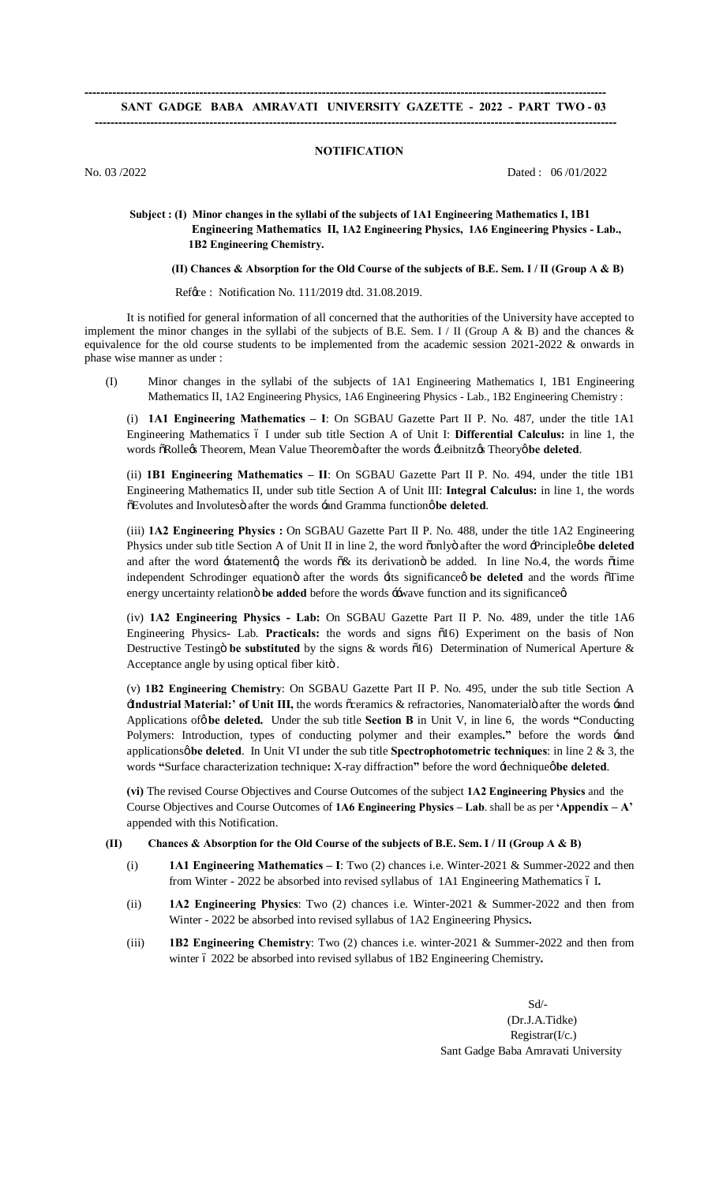# **------------------------------------------------------------------------------------------------------------------------------------ SANT GADGE BABA AMRAVATI UNIVERSITY GAZETTE - 2022 - PART TWO - 03 ------------------------------------------------------------------------------------------------------------------------------------**

### **NOTIFICATION**

No. 03 /2022 Dated : 06 /01/2022

# **Subject : (I) Minor changes in the syllabi of the subjects of 1A1 Engineering Mathematics I, 1B1 Engineering Mathematics II, 1A2 Engineering Physics, 1A6 Engineering Physics - Lab., 1B2 Engineering Chemistry.**

 **(II) Chances & Absorption for the Old Course of the subjects of B.E. Sem. I / II (Group A & B)** 

Ref  $\alpha$  : Notification No. 111/2019 dtd. 31.08.2019.

It is notified for general information of all concerned that the authorities of the University have accepted to implement the minor changes in the syllabi of the subjects of B.E. Sem. I / II (Group A & B) and the chances & equivalence for the old course students to be implemented from the academic session 2021-2022 & onwards in phase wise manner as under :

(I) Minor changes in the syllabi of the subjects of 1A1 Engineering Mathematics I, 1B1 Engineering Mathematics II, 1A2 Engineering Physics, 1A6 Engineering Physics - Lab., 1B2 Engineering Chemistry :

(i) **1A1 Engineering Mathematics – I**: On SGBAU Gazette Part II P. No. 487, under the title 1A1 Engineering Mathematics – I under sub title Section A of Unit I: **Differential Calculus:** in line 1, the words  $\tilde{\sigma}$ Rolle $\alpha$ s Theorem, Mean Value Theoremö after the words  $\pm$ Leibnitz $\alpha$ s Theory $\phi$  be deleted.

(ii) **1B1 Engineering Mathematics – II**: On SGBAU Gazette Part II P. No. 494, under the title 1B1 Engineering Mathematics II, under sub title Section A of Unit III: **Integral Calculus:** in line 1, the words  $\tilde{\text{o}}$ Evolutes and Involutes after the words -and Gramma function  $\phi$  be deleted.

(iii) **1A2 Engineering Physics :** On SGBAU Gazette Part II P. No. 488, under the title 1A2 Engineering Physics under sub title Section A of Unit II in line 2, the word oonly after the word  $\exists$ Principleø be deleted and after the word -statemento, the words  $\delta \&$  its derivation be added. In line No.4, the words  $\delta t$ ime independent Schrodinger equationö after the words  $\exists$ ts significanceø be deleted and the words  $\vec{o}$ Time energy uncertainty relation oble added before the words  $\div$ wave function and its significance  $\alpha$ 

(iv) **1A2 Engineering Physics - Lab:** On SGBAU Gazette Part II P. No. 489, under the title 1A6 Engineering Physics- Lab. Practicals: the words and signs  $\tilde{0}16$ ) Experiment on the basis of Non Destructive Testingö be substituted by the signs & words  $\tilde{o}16$ ) Determination of Numerical Aperture & Acceptance angle by using optical fiber kitö .

(v) **1B2 Engineering Chemistry**: On SGBAU Gazette Part II P. No. 495, under the sub title Section A **Hndustrial Material:' of Unit III,** the words õceramics & refractories, Nanomaterialö after the words -and Applications of  $\phi$  be deleted. Under the sub title Section B in Unit V, in line 6, the words "Conducting Polymers: Introduction, types of conducting polymer and their examples**."** before the words 'and applicationsø be deleted. In Unit VI under the sub title **Spectrophotometric techniques**: in line 2 & 3, the words "Surface characterization technique: X-ray diffraction" before the word -technique øbe deleted.

**(vi)** The revised Course Objectives and Course Outcomes of the subject **1A2 Engineering Physics** andthe Course Objectives and Course Outcomes of **1A6 Engineering Physics – Lab**. shall be as per **'Appendix – A'** appended with this Notification.

#### **(II) Chances & Absorption for the Old Course of the subjects of B.E. Sem. I / II (Group A & B)**

- (i) **1A1 Engineering Mathematics – I**: Two (2) chances i.e. Winter-2021 & Summer-2022 and then from Winter - 2022 be absorbed into revised syllabus of 1A1 Engineering Mathematics 6 I.
- (ii) **1A2 Engineering Physics**: Two (2) chances i.e. Winter-2021 & Summer-2022 and then from Winter - 2022 be absorbed into revised syllabus of 1A2 Engineering Physics**.**
- (iii) **1B2 Engineering Chemistry**: Two (2) chances i.e. winter-2021 & Summer-2022 and then from winter 6 2022 be absorbed into revised syllabus of 1B2 Engineering Chemistry.

 Sd/- (Dr.J.A.Tidke)  $Reeistrar(*I*/*c*.)$ Sant Gadge Baba Amravati University